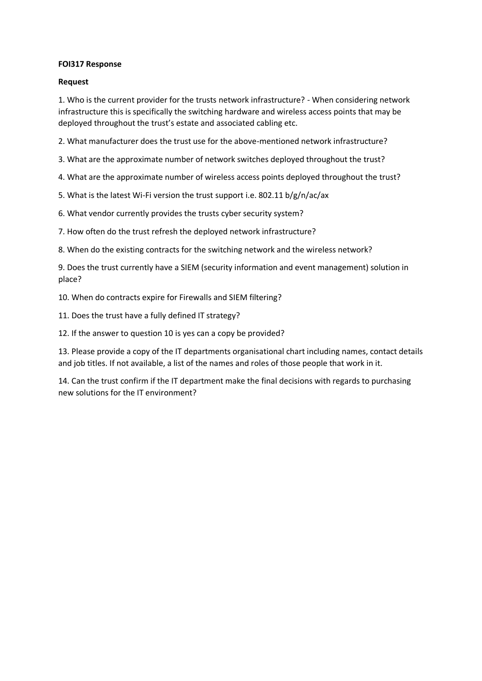### **FOI317 Response**

### **Request**

1. Who is the current provider for the trusts network infrastructure? - When considering network infrastructure this is specifically the switching hardware and wireless access points that may be deployed throughout the trust's estate and associated cabling etc.

2. What manufacturer does the trust use for the above-mentioned network infrastructure?

3. What are the approximate number of network switches deployed throughout the trust?

4. What are the approximate number of wireless access points deployed throughout the trust?

5. What is the latest Wi-Fi version the trust support i.e. 802.11 b/g/n/ac/ax

6. What vendor currently provides the trusts cyber security system?

7. How often do the trust refresh the deployed network infrastructure?

8. When do the existing contracts for the switching network and the wireless network?

9. Does the trust currently have a SIEM (security information and event management) solution in place?

10. When do contracts expire for Firewalls and SIEM filtering?

11. Does the trust have a fully defined IT strategy?

12. If the answer to question 10 is yes can a copy be provided?

13. Please provide a copy of the IT departments organisational chart including names, contact details and job titles. If not available, a list of the names and roles of those people that work in it.

14. Can the trust confirm if the IT department make the final decisions with regards to purchasing new solutions for the IT environment?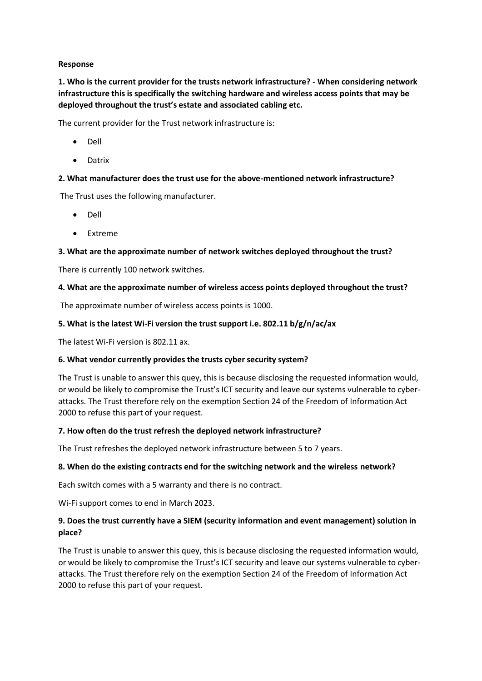# **Response**

**1. Who is the current provider for the trusts network infrastructure? - When considering network infrastructure this is specifically the switching hardware and wireless access points that may be deployed throughout the trust's estate and associated cabling etc.** 

The current provider for the Trust network infrastructure is:

- Dell
- Datrix

# **2. What manufacturer does the trust use for the above-mentioned network infrastructure?**

The Trust uses the following manufacturer.

- Dell
- **Extreme**

# **3. What are the approximate number of network switches deployed throughout the trust?**

There is currently 100 network switches.

# **4. What are the approximate number of wireless access points deployed throughout the trust?**

The approximate number of wireless access points is 1000.

# **5. What is the latest Wi-Fi version the trust support i.e. 802.11 b/g/n/ac/ax**

The latest Wi-Fi version is 802.11 ax.

#### **6. What vendor currently provides the trusts cyber security system?**

The Trust is unable to answer this quey, this is because disclosing the requested information would, or would be likely to compromise the Trust's ICT security and leave our systems vulnerable to cyberattacks. The Trust therefore rely on the exemption Section 24 of the Freedom of Information Act 2000 to refuse this part of your request.

#### **7. How often do the trust refresh the deployed network infrastructure?**

The Trust refreshes the deployed network infrastructure between 5 to 7 years.

#### **8. When do the existing contracts end for the switching network and the wireless network?**

Each switch comes with a 5 warranty and there is no contract.

Wi-Fi support comes to end in March 2023.

# **9. Does the trust currently have a SIEM (security information and event management) solution in place?**

The Trust is unable to answer this quey, this is because disclosing the requested information would, or would be likely to compromise the Trust's ICT security and leave our systems vulnerable to cyberattacks. The Trust therefore rely on the exemption Section 24 of the Freedom of Information Act 2000 to refuse this part of your request.